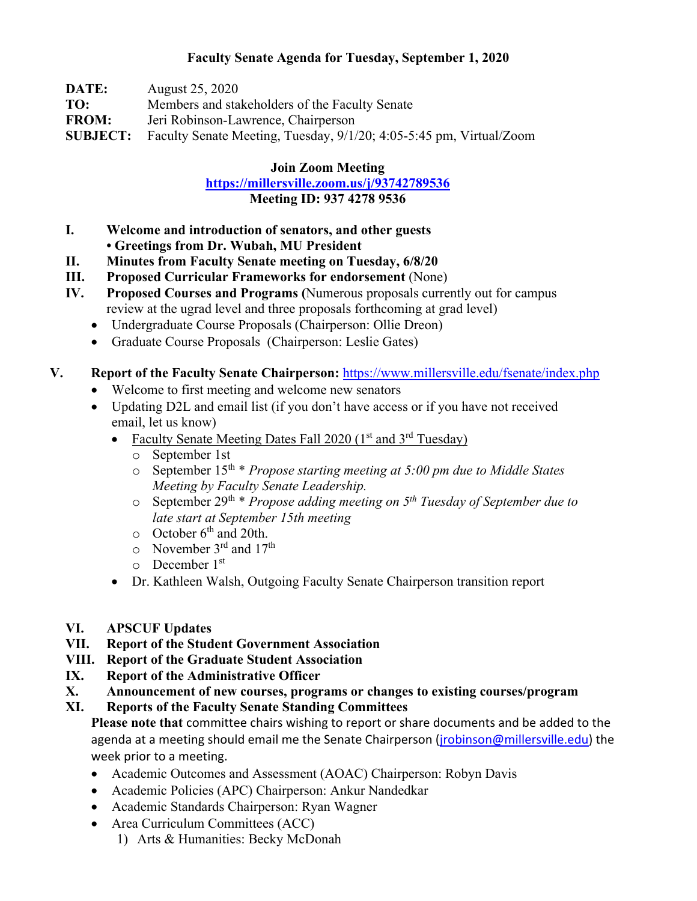## **Faculty Senate Agenda for Tuesday, September 1, 2020**

| DATE:        | August 25, 2020                                                                     |
|--------------|-------------------------------------------------------------------------------------|
| TO:          | Members and stakeholders of the Faculty Senate                                      |
| <b>FROM:</b> | Jeri Robinson-Lawrence, Chairperson                                                 |
|              | <b>SUBJECT:</b> Faculty Senate Meeting, Tuesday, 9/1/20; 4:05-5:45 pm, Virtual/Zoom |

#### **Join Zoom Meeting**

**<https://millersville.zoom.us/j/93742789536> Meeting ID: 937 4278 9536**

## **I. Welcome and introduction of senators, and other guests • Greetings from Dr. Wubah, MU President**

- **II. Minutes from Faculty Senate meeting on Tuesday, 6/8/20**
- **III. Proposed Curricular Frameworks for endorsement** (None)
- **IV. Proposed Courses and Programs (**Numerous proposals currently out for campus review at the ugrad level and three proposals forthcoming at grad level)
	- Undergraduate Course Proposals (Chairperson: Ollie Dreon)
	- Graduate Course Proposals (Chairperson: Leslie Gates)

## **V. Report of the Faculty Senate Chairperson:** <https://www.millersville.edu/fsenate/index.php>

- Welcome to first meeting and welcome new senators
- Updating D2L and email list (if you don't have access or if you have not received email, let us know)
	- Faculty Senate Meeting Dates Fall 2020  $(1<sup>st</sup>$  and  $3<sup>rd</sup>$  Tuesday)
		- o September 1st
		- o September 15th \* *Propose starting meeting at 5:00 pm due to Middle States Meeting by Faculty Senate Leadership.*
		- o September 29th \* *Propose adding meeting on 5th Tuesday of September due to late start at September 15th meeting*
		- $\circ$  October 6<sup>th</sup> and 20th.
		- $\circ$  November 3<sup>rd</sup> and 17<sup>th</sup>
		- o December 1st
	- Dr. Kathleen Walsh, Outgoing Faculty Senate Chairperson transition report
- **VI. APSCUF Updates**
- **VII. Report of the Student Government Association**
- **VIII. Report of the Graduate Student Association**
- **IX. Report of the Administrative Officer**
- **X. Announcement of new courses, programs or changes to existing courses/program**

# **XI. Reports of the Faculty Senate Standing Committees**

**Please note that** committee chairs wishing to report or share documents and be added to the agenda at a meeting should email me the Senate Chairperson (*jrobinson@millersville.edu*) the week prior to a meeting.

- Academic Outcomes and Assessment (AOAC) Chairperson: Robyn Davis
- Academic Policies (APC) Chairperson: Ankur Nandedkar
- Academic Standards Chairperson: Ryan Wagner
- Area Curriculum Committees (ACC)
	- 1) Arts & Humanities: Becky McDonah